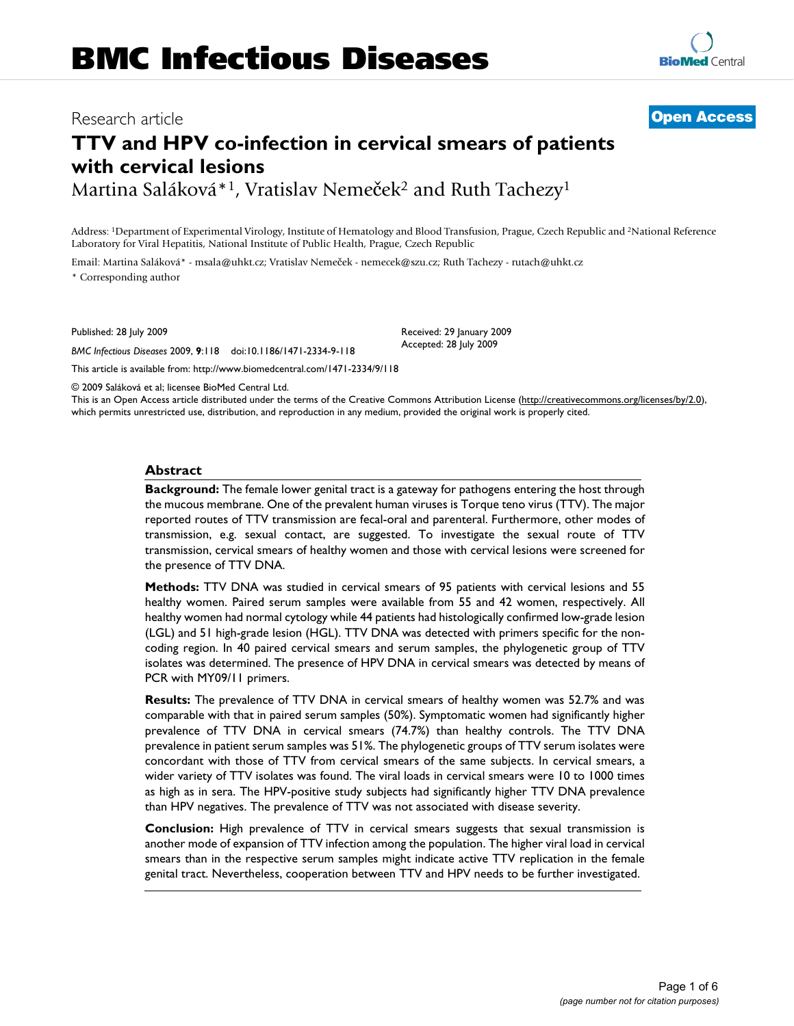## Research article

# **TTV and HPV co-infection in cervical smears of patients with cervical lesions**

Martina Saláková\*<sup>1</sup>, Vratislav Nemeček<sup>2</sup> and Ruth Tachezy<sup>1</sup>

Address: 1Department of Experimental Virology, Institute of Hematology and Blood Transfusion, Prague, Czech Republic and 2National Reference Laboratory for Viral Hepatitis, National Institute of Public Health, Prague, Czech Republic

Email: Martina Saláková\* - msala@uhkt.cz; Vratislav Nemeček - nemecek@szu.cz; Ruth Tachezy - rutach@uhkt.cz \* Corresponding author

Published: 28 July 2009

*BMC Infectious Diseases* 2009, **9**:118 doi:10.1186/1471-2334-9-118

[This article is available from: http://www.biomedcentral.com/1471-2334/9/118](http://www.biomedcentral.com/1471-2334/9/118)

© 2009 Saláková et al; licensee BioMed Central Ltd.

This is an Open Access article distributed under the terms of the Creative Commons Attribution License [\(http://creativecommons.org/licenses/by/2.0\)](http://creativecommons.org/licenses/by/2.0), which permits unrestricted use, distribution, and reproduction in any medium, provided the original work is properly cited.

#### **Abstract**

**Background:** The female lower genital tract is a gateway for pathogens entering the host through the mucous membrane. One of the prevalent human viruses is Torque teno virus (TTV). The major reported routes of TTV transmission are fecal-oral and parenteral. Furthermore, other modes of transmission, e.g. sexual contact, are suggested. To investigate the sexual route of TTV transmission, cervical smears of healthy women and those with cervical lesions were screened for the presence of TTV DNA.

**Methods:** TTV DNA was studied in cervical smears of 95 patients with cervical lesions and 55 healthy women. Paired serum samples were available from 55 and 42 women, respectively. All healthy women had normal cytology while 44 patients had histologically confirmed low-grade lesion (LGL) and 51 high-grade lesion (HGL). TTV DNA was detected with primers specific for the noncoding region. In 40 paired cervical smears and serum samples, the phylogenetic group of TTV isolates was determined. The presence of HPV DNA in cervical smears was detected by means of PCR with MY09/11 primers.

**Results:** The prevalence of TTV DNA in cervical smears of healthy women was 52.7% and was comparable with that in paired serum samples (50%). Symptomatic women had significantly higher prevalence of TTV DNA in cervical smears (74.7%) than healthy controls. The TTV DNA prevalence in patient serum samples was 51%. The phylogenetic groups of TTV serum isolates were concordant with those of TTV from cervical smears of the same subjects. In cervical smears, a wider variety of TTV isolates was found. The viral loads in cervical smears were 10 to 1000 times as high as in sera. The HPV-positive study subjects had significantly higher TTV DNA prevalence than HPV negatives. The prevalence of TTV was not associated with disease severity.

**Conclusion:** High prevalence of TTV in cervical smears suggests that sexual transmission is another mode of expansion of TTV infection among the population. The higher viral load in cervical smears than in the respective serum samples might indicate active TTV replication in the female genital tract. Nevertheless, cooperation between TTV and HPV needs to be further investigated.

**[Open Access](http://www.biomedcentral.com/info/about/charter/)**

Received: 29 January 2009 Accepted: 28 July 2009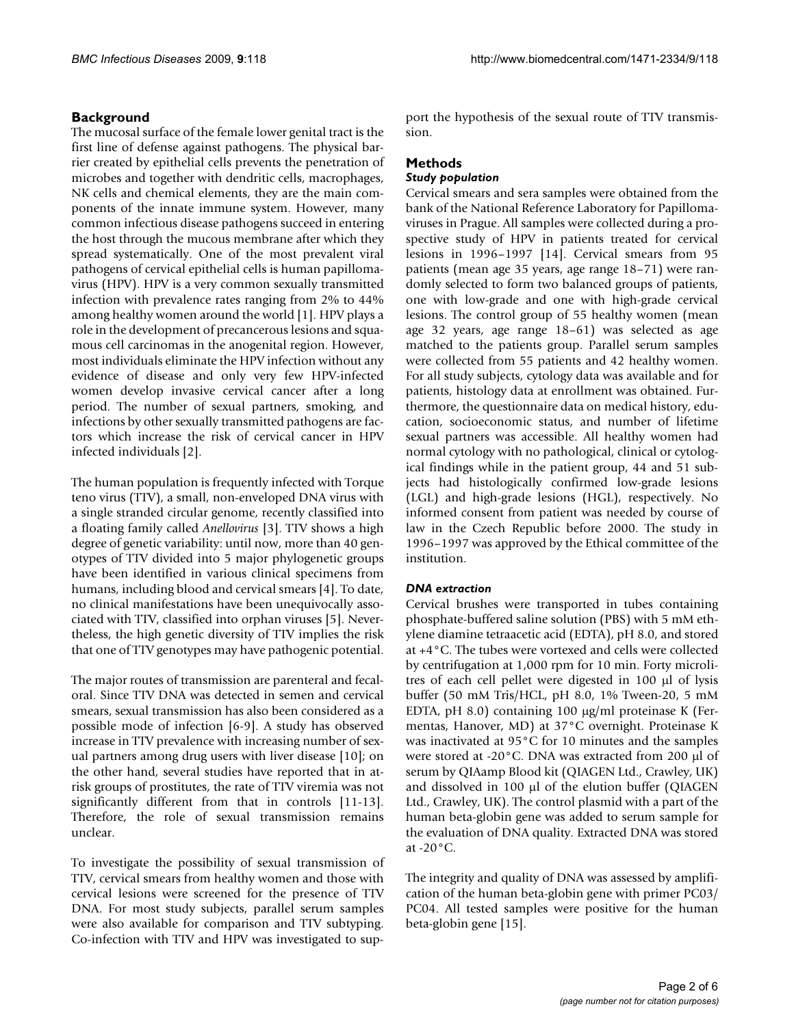#### **Background**

The mucosal surface of the female lower genital tract is the first line of defense against pathogens. The physical barrier created by epithelial cells prevents the penetration of microbes and together with dendritic cells, macrophages, NK cells and chemical elements, they are the main components of the innate immune system. However, many common infectious disease pathogens succeed in entering the host through the mucous membrane after which they spread systematically. One of the most prevalent viral pathogens of cervical epithelial cells is human papillomavirus (HPV). HPV is a very common sexually transmitted infection with prevalence rates ranging from 2% to 44% among healthy women around the world [[1](#page-4-0)]. HPV plays a role in the development of precancerous lesions and squamous cell carcinomas in the anogenital region. However, most individuals eliminate the HPV infection without any evidence of disease and only very few HPV-infected women develop invasive cervical cancer after a long period. The number of sexual partners, smoking, and infections by other sexually transmitted pathogens are factors which increase the risk of cervical cancer in HPV infected individuals [\[2\]](#page-4-1).

The human population is frequently infected with Torque teno virus (TTV), a small, non-enveloped DNA virus with a single stranded circular genome, recently classified into a floating family called *Anellovirus* [\[3\]](#page-4-2). TTV shows a high degree of genetic variability: until now, more than 40 genotypes of TTV divided into 5 major phylogenetic groups have been identified in various clinical specimens from humans, including blood and cervical smears [\[4\]](#page-4-3). To date, no clinical manifestations have been unequivocally associated with TTV, classified into orphan viruses [\[5\]](#page-4-4). Nevertheless, the high genetic diversity of TTV implies the risk that one of TTV genotypes may have pathogenic potential.

The major routes of transmission are parenteral and fecaloral. Since TTV DNA was detected in semen and cervical smears, sexual transmission has also been considered as a possible mode of infection [[6](#page-4-5)[-9\]](#page-4-6). A study has observed increase in TTV prevalence with increasing number of sexual partners among drug users with liver disease [\[10](#page-4-7)]; on the other hand, several studies have reported that in atrisk groups of prostitutes, the rate of TTV viremia was not significantly different from that in controls [\[11](#page-4-8)[-13](#page-4-9)]. Therefore, the role of sexual transmission remains unclear.

To investigate the possibility of sexual transmission of TTV, cervical smears from healthy women and those with cervical lesions were screened for the presence of TTV DNA. For most study subjects, parallel serum samples were also available for comparison and TTV subtyping. Co-infection with TTV and HPV was investigated to support the hypothesis of the sexual route of TTV transmission.

## **Methods**

#### *Study population*

Cervical smears and sera samples were obtained from the bank of the National Reference Laboratory for Papillomaviruses in Prague. All samples were collected during a prospective study of HPV in patients treated for cervical lesions in 1996–1997 [\[14](#page-4-10)]. Cervical smears from 95 patients (mean age 35 years, age range 18–71) were randomly selected to form two balanced groups of patients, one with low-grade and one with high-grade cervical lesions. The control group of 55 healthy women (mean age 32 years, age range 18–61) was selected as age matched to the patients group. Parallel serum samples were collected from 55 patients and 42 healthy women. For all study subjects, cytology data was available and for patients, histology data at enrollment was obtained. Furthermore, the questionnaire data on medical history, education, socioeconomic status, and number of lifetime sexual partners was accessible. All healthy women had normal cytology with no pathological, clinical or cytological findings while in the patient group, 44 and 51 subjects had histologically confirmed low-grade lesions (LGL) and high-grade lesions (HGL), respectively. No informed consent from patient was needed by course of law in the Czech Republic before 2000. The study in 1996–1997 was approved by the Ethical committee of the institution.

#### *DNA extraction*

Cervical brushes were transported in tubes containing phosphate-buffered saline solution (PBS) with 5 mM ethylene diamine tetraacetic acid (EDTA), pH 8.0, and stored at +4°C. The tubes were vortexed and cells were collected by centrifugation at 1,000 rpm for 10 min. Forty microlitres of each cell pellet were digested in 100 μl of lysis buffer (50 mM Tris/HCL, pH 8.0, 1% Tween-20, 5 mM EDTA, pH 8.0) containing 100 μg/ml proteinase K (Fermentas, Hanover, MD) at 37°C overnight. Proteinase K was inactivated at 95°C for 10 minutes and the samples were stored at -20°C. DNA was extracted from 200 μl of serum by QIAamp Blood kit (QIAGEN Ltd., Crawley, UK) and dissolved in 100 μl of the elution buffer (QIAGEN Ltd., Crawley, UK). The control plasmid with a part of the human beta-globin gene was added to serum sample for the evaluation of DNA quality. Extracted DNA was stored at -20°C.

The integrity and quality of DNA was assessed by amplification of the human beta-globin gene with primer PC03/ PC04. All tested samples were positive for the human beta-globin gene [\[15](#page-4-11)].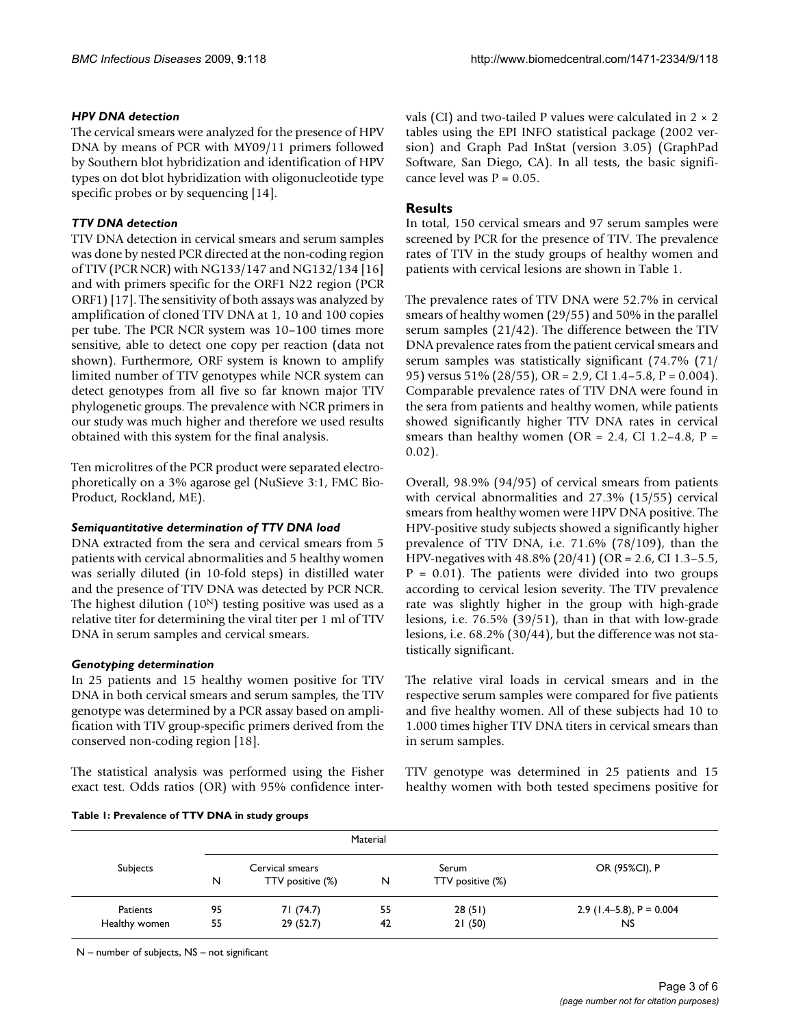#### *HPV DNA detection*

The cervical smears were analyzed for the presence of HPV DNA by means of PCR with MY09/11 primers followed by Southern blot hybridization and identification of HPV types on dot blot hybridization with oligonucleotide type specific probes or by sequencing [\[14](#page-4-10)].

#### *TTV DNA detection*

TTV DNA detection in cervical smears and serum samples was done by nested PCR directed at the non-coding region of TTV (PCR NCR) with NG133/147 and NG132/134 [[16\]](#page-4-12) and with primers specific for the ORF1 N22 region (PCR ORF1) [[17](#page-5-0)]. The sensitivity of both assays was analyzed by amplification of cloned TTV DNA at 1, 10 and 100 copies per tube. The PCR NCR system was 10–100 times more sensitive, able to detect one copy per reaction (data not shown). Furthermore, ORF system is known to amplify limited number of TTV genotypes while NCR system can detect genotypes from all five so far known major TTV phylogenetic groups. The prevalence with NCR primers in our study was much higher and therefore we used results obtained with this system for the final analysis.

Ten microlitres of the PCR product were separated electrophoretically on a 3% agarose gel (NuSieve 3:1, FMC Bio-Product, Rockland, ME).

#### *Semiquantitative determination of TTV DNA load*

DNA extracted from the sera and cervical smears from 5 patients with cervical abnormalities and 5 healthy women was serially diluted (in 10-fold steps) in distilled water and the presence of TTV DNA was detected by PCR NCR. The highest dilution  $(10<sup>N</sup>)$  testing positive was used as a relative titer for determining the viral titer per 1 ml of TTV DNA in serum samples and cervical smears.

#### *Genotyping determination*

In 25 patients and 15 healthy women positive for TTV DNA in both cervical smears and serum samples, the TTV genotype was determined by a PCR assay based on amplification with TTV group-specific primers derived from the conserved non-coding region [[18\]](#page-5-1).

The statistical analysis was performed using the Fisher exact test. Odds ratios (OR) with 95% confidence intervals (CI) and two-tailed P values were calculated in  $2 \times 2$ tables using the EPI INFO statistical package (2002 version) and Graph Pad InStat (version 3.05) (GraphPad Software, San Diego, CA). In all tests, the basic significance level was  $P = 0.05$ .

## **Results**

In total, 150 cervical smears and 97 serum samples were screened by PCR for the presence of TTV. The prevalence rates of TTV in the study groups of healthy women and patients with cervical lesions are shown in Table [1.](#page-2-0)

The prevalence rates of TTV DNA were 52.7% in cervical smears of healthy women (29/55) and 50% in the parallel serum samples (21/42). The difference between the TTV DNA prevalence rates from the patient cervical smears and serum samples was statistically significant (74.7% (71/ 95) versus 51% (28/55), OR = 2.9, CI 1.4–5.8, P = 0.004). Comparable prevalence rates of TTV DNA were found in the sera from patients and healthy women, while patients showed significantly higher TTV DNA rates in cervical smears than healthy women (OR = 2.4, CI 1.2–4.8,  $P =$ 0.02).

Overall, 98.9% (94/95) of cervical smears from patients with cervical abnormalities and 27.3% (15/55) cervical smears from healthy women were HPV DNA positive. The HPV-positive study subjects showed a significantly higher prevalence of TTV DNA, i.e. 71.6% (78/109), than the HPV-negatives with 48.8% (20/41) (OR = 2.6, CI 1.3–5.5,  $P = 0.01$ ). The patients were divided into two groups according to cervical lesion severity. The TTV prevalence rate was slightly higher in the group with high-grade lesions, i.e. 76.5% (39/51), than in that with low-grade lesions, i.e. 68.2% (30/44), but the difference was not statistically significant.

The relative viral loads in cervical smears and in the respective serum samples were compared for five patients and five healthy women. All of these subjects had 10 to 1.000 times higher TTV DNA titers in cervical smears than in serum samples.

TTV genotype was determined in 25 patients and 15 healthy women with both tested specimens positive for

#### <span id="page-2-0"></span>**Table 1: Prevalence of TTV DNA in study groups**

|                 | Material        |                  |       |                  |                             |
|-----------------|-----------------|------------------|-------|------------------|-----------------------------|
| <b>Subjects</b> | Cervical smears |                  | Serum |                  | OR (95%CI), P               |
|                 | N               | TTV positive (%) | N     | TTV positive (%) |                             |
| Patients        | 95              | 71 (74.7)        | 55    | 28(51)           | 2.9 $(1.4-5.8)$ , P = 0.004 |
| Healthy women   | 55              | 29 (52.7)        | 42    | 21(50)           | <b>NS</b>                   |

N – number of subjects, NS – not significant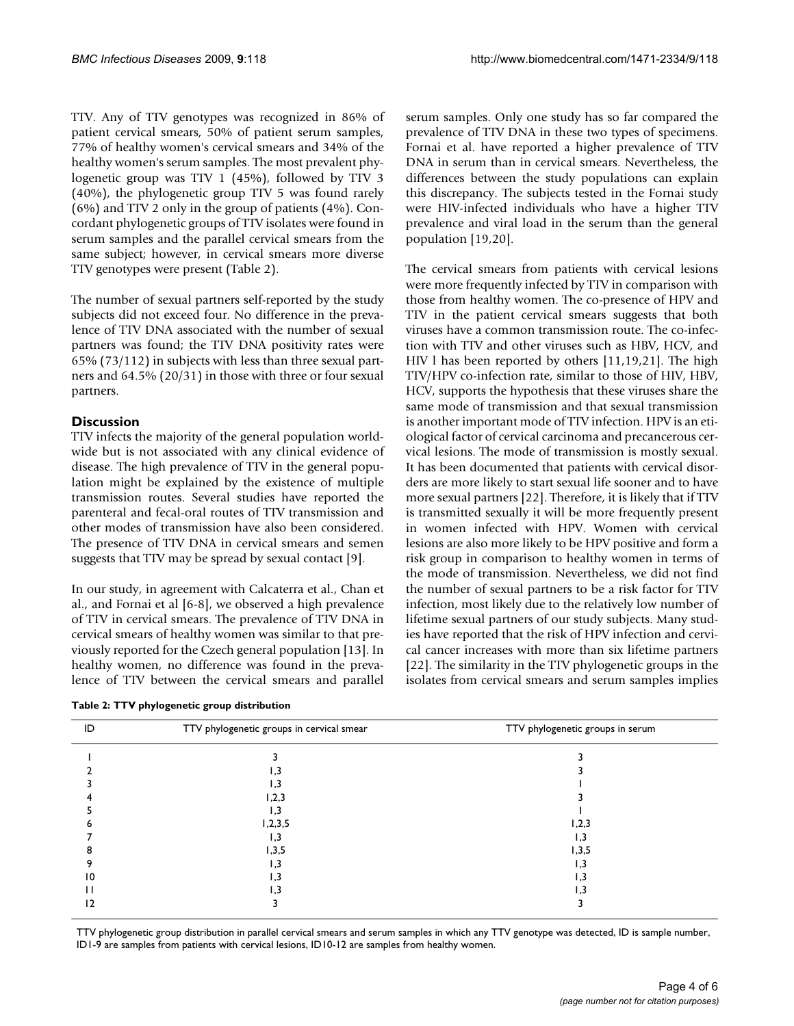TTV. Any of TTV genotypes was recognized in 86% of patient cervical smears, 50% of patient serum samples, 77% of healthy women's cervical smears and 34% of the healthy women's serum samples. The most prevalent phylogenetic group was TTV 1 (45%), followed by TTV 3 (40%), the phylogenetic group TTV 5 was found rarely (6%) and TTV 2 only in the group of patients (4%). Concordant phylogenetic groups of TTV isolates were found in serum samples and the parallel cervical smears from the same subject; however, in cervical smears more diverse TTV genotypes were present (Table [2\)](#page-3-0).

The number of sexual partners self-reported by the study subjects did not exceed four. No difference in the prevalence of TTV DNA associated with the number of sexual partners was found; the TTV DNA positivity rates were 65% (73/112) in subjects with less than three sexual partners and 64.5% (20/31) in those with three or four sexual partners.

## **Discussion**

TTV infects the majority of the general population worldwide but is not associated with any clinical evidence of disease. The high prevalence of TTV in the general population might be explained by the existence of multiple transmission routes. Several studies have reported the parenteral and fecal-oral routes of TTV transmission and other modes of transmission have also been considered. The presence of TTV DNA in cervical smears and semen suggests that TTV may be spread by sexual contact [[9\]](#page-4-6).

In our study, in agreement with Calcaterra et al., Chan et al., and Fornai et al [\[6](#page-4-5)[-8\]](#page-4-13), we observed a high prevalence of TTV in cervical smears. The prevalence of TTV DNA in cervical smears of healthy women was similar to that previously reported for the Czech general population [\[13\]](#page-4-9). In healthy women, no difference was found in the prevalence of TTV between the cervical smears and parallel

<span id="page-3-0"></span>**Table 2: TTV phylogenetic group distribution**

serum samples. Only one study has so far compared the prevalence of TTV DNA in these two types of specimens. Fornai et al. have reported a higher prevalence of TTV DNA in serum than in cervical smears. Nevertheless, the differences between the study populations can explain this discrepancy. The subjects tested in the Fornai study were HIV-infected individuals who have a higher TTV prevalence and viral load in the serum than the general population [\[19](#page-5-2),[20](#page-5-3)].

The cervical smears from patients with cervical lesions were more frequently infected by TTV in comparison with those from healthy women. The co-presence of HPV and TTV in the patient cervical smears suggests that both viruses have a common transmission route. The co-infection with TTV and other viruses such as HBV, HCV, and HIV l has been reported by others [[11](#page-4-8),[19](#page-5-2)[,21](#page-5-4)]. The high TTV/HPV co-infection rate, similar to those of HIV, HBV, HCV, supports the hypothesis that these viruses share the same mode of transmission and that sexual transmission is another important mode of TTV infection. HPV is an etiological factor of cervical carcinoma and precancerous cervical lesions. The mode of transmission is mostly sexual. It has been documented that patients with cervical disorders are more likely to start sexual life sooner and to have more sexual partners [\[22](#page-5-5)]. Therefore, it is likely that if TTV is transmitted sexually it will be more frequently present in women infected with HPV. Women with cervical lesions are also more likely to be HPV positive and form a risk group in comparison to healthy women in terms of the mode of transmission. Nevertheless, we did not find the number of sexual partners to be a risk factor for TTV infection, most likely due to the relatively low number of lifetime sexual partners of our study subjects. Many studies have reported that the risk of HPV infection and cervical cancer increases with more than six lifetime partners [[22](#page-5-5)]. The similarity in the TTV phylogenetic groups in the isolates from cervical smears and serum samples implies

| ID | TTV phylogenetic groups in cervical smear | TTV phylogenetic groups in serum |  |  |
|----|-------------------------------------------|----------------------------------|--|--|
|    |                                           |                                  |  |  |
|    |                                           |                                  |  |  |
|    |                                           |                                  |  |  |
|    | 1,2,3                                     |                                  |  |  |
|    |                                           |                                  |  |  |
|    | 1,2,3,5                                   | 1,2,3                            |  |  |
|    |                                           |                                  |  |  |
|    | 1,3,5                                     | 1,3,5                            |  |  |
|    |                                           |                                  |  |  |
| ۱0 |                                           |                                  |  |  |
|    |                                           |                                  |  |  |
|    |                                           |                                  |  |  |

TTV phylogenetic group distribution in parallel cervical smears and serum samples in which any TTV genotype was detected, ID is sample number, ID1-9 are samples from patients with cervical lesions, ID10-12 are samples from healthy women.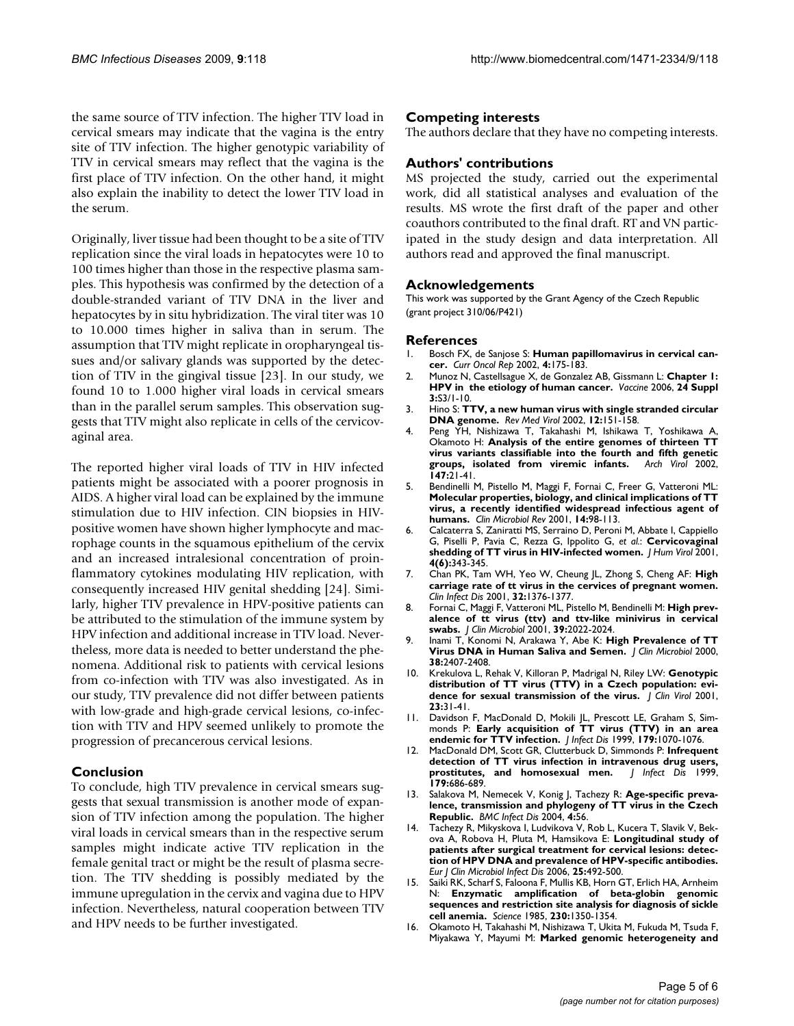the same source of TTV infection. The higher TTV load in cervical smears may indicate that the vagina is the entry site of TTV infection. The higher genotypic variability of TTV in cervical smears may reflect that the vagina is the first place of TTV infection. On the other hand, it might also explain the inability to detect the lower TTV load in the serum.

Originally, liver tissue had been thought to be a site of TTV replication since the viral loads in hepatocytes were 10 to 100 times higher than those in the respective plasma samples. This hypothesis was confirmed by the detection of a double-stranded variant of TTV DNA in the liver and hepatocytes by in situ hybridization. The viral titer was 10 to 10.000 times higher in saliva than in serum. The assumption that TTV might replicate in oropharyngeal tissues and/or salivary glands was supported by the detection of TTV in the gingival tissue [[23](#page-5-6)]. In our study, we found 10 to 1.000 higher viral loads in cervical smears than in the parallel serum samples. This observation suggests that TTV might also replicate in cells of the cervicovaginal area.

The reported higher viral loads of TTV in HIV infected patients might be associated with a poorer prognosis in AIDS. A higher viral load can be explained by the immune stimulation due to HIV infection. CIN biopsies in HIVpositive women have shown higher lymphocyte and macrophage counts in the squamous epithelium of the cervix and an increased intralesional concentration of proinflammatory cytokines modulating HIV replication, with consequently increased HIV genital shedding [[24\]](#page-5-7). Similarly, higher TTV prevalence in HPV-positive patients can be attributed to the stimulation of the immune system by HPV infection and additional increase in TTV load. Nevertheless, more data is needed to better understand the phenomena. Additional risk to patients with cervical lesions from co-infection with TTV was also investigated. As in our study, TTV prevalence did not differ between patients with low-grade and high-grade cervical lesions, co-infection with TTV and HPV seemed unlikely to promote the progression of precancerous cervical lesions.

#### **Conclusion**

To conclude, high TTV prevalence in cervical smears suggests that sexual transmission is another mode of expansion of TTV infection among the population. The higher viral loads in cervical smears than in the respective serum samples might indicate active TTV replication in the female genital tract or might be the result of plasma secretion. The TTV shedding is possibly mediated by the immune upregulation in the cervix and vagina due to HPV infection. Nevertheless, natural cooperation between TTV and HPV needs to be further investigated.

#### **Competing interests**

The authors declare that they have no competing interests.

#### **Authors' contributions**

MS projected the study, carried out the experimental work, did all statistical analyses and evaluation of the results. MS wrote the first draft of the paper and other coauthors contributed to the final draft. RT and VN participated in the study design and data interpretation. All authors read and approved the final manuscript.

#### **Acknowledgements**

This work was supported by the Grant Agency of the Czech Republic (grant project 310/06/P421)

#### **References**

- <span id="page-4-0"></span>1. Bosch FX, de Sanjose S: **[Human papillomavirus in cervical can](http://www.ncbi.nlm.nih.gov/entrez/query.fcgi?cmd=Retrieve&db=PubMed&dopt=Abstract&list_uids=11822990)[cer.](http://www.ncbi.nlm.nih.gov/entrez/query.fcgi?cmd=Retrieve&db=PubMed&dopt=Abstract&list_uids=11822990)** *Curr Oncol Rep* 2002, **4:**175-183.
- <span id="page-4-1"></span>2. Munoz N, Castellsague X, de Gonzalez AB, Gissmann L: **[Chapter 1:](http://www.ncbi.nlm.nih.gov/entrez/query.fcgi?cmd=Retrieve&db=PubMed&dopt=Abstract&list_uids=16949995) [HPV in the etiology of human cancer.](http://www.ncbi.nlm.nih.gov/entrez/query.fcgi?cmd=Retrieve&db=PubMed&dopt=Abstract&list_uids=16949995)** *Vaccine* 2006, **24 Suppl 3:**S3/1-10.
- <span id="page-4-2"></span>3. Hino S: **[TTV, a new human virus with single stranded circular](http://www.ncbi.nlm.nih.gov/entrez/query.fcgi?cmd=Retrieve&db=PubMed&dopt=Abstract&list_uids=11987140) [DNA genome.](http://www.ncbi.nlm.nih.gov/entrez/query.fcgi?cmd=Retrieve&db=PubMed&dopt=Abstract&list_uids=11987140)** *Rev Med Virol* 2002, **12:**151-158.
- <span id="page-4-3"></span>4. Peng YH, Nishizawa T, Takahashi M, Ishikawa T, Yoshikawa A, Okamoto H: **[Analysis of the entire genomes of thirteen TT](http://www.ncbi.nlm.nih.gov/entrez/query.fcgi?cmd=Retrieve&db=PubMed&dopt=Abstract&list_uids=11855633) [virus variants classifiable into the fourth and fifth genetic](http://www.ncbi.nlm.nih.gov/entrez/query.fcgi?cmd=Retrieve&db=PubMed&dopt=Abstract&list_uids=11855633)** [groups, isolated from viremic infants.](http://www.ncbi.nlm.nih.gov/entrez/query.fcgi?cmd=Retrieve&db=PubMed&dopt=Abstract&list_uids=11855633) **147:**21-41.
- <span id="page-4-4"></span>5. Bendinelli M, Pistello M, Maggi F, Fornai C, Freer G, Vatteroni ML: **[Molecular properties, biology, and clinical implications of TT](http://www.ncbi.nlm.nih.gov/entrez/query.fcgi?cmd=Retrieve&db=PubMed&dopt=Abstract&list_uids=11148004) virus, a recently identified widespread infectious agent of [humans.](http://www.ncbi.nlm.nih.gov/entrez/query.fcgi?cmd=Retrieve&db=PubMed&dopt=Abstract&list_uids=11148004)** *Clin Microbiol Rev* 2001, **14:**98-113.
- <span id="page-4-5"></span>6. Calcaterra S, Zaniratti MS, Serraino D, Peroni M, Abbate I, Cappiello G, Piselli P, Pavia C, Rezza G, Ippolito G, *et al.*: **[Cervicovaginal](http://www.ncbi.nlm.nih.gov/entrez/query.fcgi?cmd=Retrieve&db=PubMed&dopt=Abstract&list_uids=12082401) [shedding of TT virus in HIV-infected women.](http://www.ncbi.nlm.nih.gov/entrez/query.fcgi?cmd=Retrieve&db=PubMed&dopt=Abstract&list_uids=12082401)** *J Hum Virol* 2001, **4(6):**343-345.
- 7. Chan PK, Tam WH, Yeo W, Cheung JL, Zhong S, Cheng AF: **[High](http://www.ncbi.nlm.nih.gov/entrez/query.fcgi?cmd=Retrieve&db=PubMed&dopt=Abstract&list_uids=11303276) [carriage rate of tt virus in the cervices of pregnant women.](http://www.ncbi.nlm.nih.gov/entrez/query.fcgi?cmd=Retrieve&db=PubMed&dopt=Abstract&list_uids=11303276)** *Clin Infect Dis* 2001, **32:**1376-1377.
- <span id="page-4-13"></span>8. Fornai C, Maggi F, Vatteroni ML, Pistello M, Bendinelli M: **[High prev](http://www.ncbi.nlm.nih.gov/entrez/query.fcgi?cmd=Retrieve&db=PubMed&dopt=Abstract&list_uids=11326040)[alence of tt virus \(ttv\) and ttv-like minivirus in cervical](http://www.ncbi.nlm.nih.gov/entrez/query.fcgi?cmd=Retrieve&db=PubMed&dopt=Abstract&list_uids=11326040) [swabs.](http://www.ncbi.nlm.nih.gov/entrez/query.fcgi?cmd=Retrieve&db=PubMed&dopt=Abstract&list_uids=11326040)** *J Clin Microbiol* 2001, **39:**2022-2024.
- <span id="page-4-6"></span>9. Inami T, Konomi N, Arakawa Y, Abe K: **[High Prevalence of TT](http://www.ncbi.nlm.nih.gov/entrez/query.fcgi?cmd=Retrieve&db=PubMed&dopt=Abstract&list_uids=10835017) [Virus DNA in Human Saliva and Semen.](http://www.ncbi.nlm.nih.gov/entrez/query.fcgi?cmd=Retrieve&db=PubMed&dopt=Abstract&list_uids=10835017)** *J Clin Microbiol* 2000, **38:**2407-2408.
- <span id="page-4-7"></span>10. Krekulova L, Rehak V, Killoran P, Madrigal N, Riley LW: **[Genotypic](http://www.ncbi.nlm.nih.gov/entrez/query.fcgi?cmd=Retrieve&db=PubMed&dopt=Abstract&list_uids=11595582) [distribution of TT virus \(TTV\) in a Czech population: evi](http://www.ncbi.nlm.nih.gov/entrez/query.fcgi?cmd=Retrieve&db=PubMed&dopt=Abstract&list_uids=11595582)[dence for sexual transmission of the virus.](http://www.ncbi.nlm.nih.gov/entrez/query.fcgi?cmd=Retrieve&db=PubMed&dopt=Abstract&list_uids=11595582)** *J Clin Virol* 2001, **23:**31-41.
- <span id="page-4-8"></span>11. Davidson F, MacDonald D, Mokili JL, Prescott LE, Graham S, Simmonds P: **[Early acquisition of TT virus \(TTV\) in an area](http://www.ncbi.nlm.nih.gov/entrez/query.fcgi?cmd=Retrieve&db=PubMed&dopt=Abstract&list_uids=10191206) [endemic for TTV infection.](http://www.ncbi.nlm.nih.gov/entrez/query.fcgi?cmd=Retrieve&db=PubMed&dopt=Abstract&list_uids=10191206)** *J Infect Dis* 1999, **179:**1070-1076.
- 12. MacDonald DM, Scott GR, Clutterbuck D, Simmonds P: **[Infrequent](http://www.ncbi.nlm.nih.gov/entrez/query.fcgi?cmd=Retrieve&db=PubMed&dopt=Abstract&list_uids=9952377)** [detection of TT virus infection in intravenous drug users,](http://www.ncbi.nlm.nih.gov/entrez/query.fcgi?cmd=Retrieve&db=PubMed&dopt=Abstract&list_uids=9952377)<br>prostitutes, and homosexual men. *J Infect Dis* 1999, [prostitutes, and homosexual men.](http://www.ncbi.nlm.nih.gov/entrez/query.fcgi?cmd=Retrieve&db=PubMed&dopt=Abstract&list_uids=9952377) **179:**686-689.
- <span id="page-4-9"></span>13. Salakova M, Nemecek V, Konig J, Tachezy R: **[Age-specific preva](http://www.ncbi.nlm.nih.gov/entrez/query.fcgi?cmd=Retrieve&db=PubMed&dopt=Abstract&list_uids=15575965)[lence, transmission and phylogeny of TT virus in the Czech](http://www.ncbi.nlm.nih.gov/entrez/query.fcgi?cmd=Retrieve&db=PubMed&dopt=Abstract&list_uids=15575965) [Republic.](http://www.ncbi.nlm.nih.gov/entrez/query.fcgi?cmd=Retrieve&db=PubMed&dopt=Abstract&list_uids=15575965)** *BMC Infect Dis* 2004, **4:**56.
- <span id="page-4-10"></span>14. Tachezy R, Mikyskova I, Ludvikova V, Rob L, Kucera T, Slavik V, Bekova A, Robova H, Pluta M, Hamsikova E: **[Longitudinal study of](http://www.ncbi.nlm.nih.gov/entrez/query.fcgi?cmd=Retrieve&db=PubMed&dopt=Abstract&list_uids=16896828) [patients after surgical treatment for cervical lesions: detec](http://www.ncbi.nlm.nih.gov/entrez/query.fcgi?cmd=Retrieve&db=PubMed&dopt=Abstract&list_uids=16896828)tion of HPV DNA and prevalence of HPV-specific antibodies.** *Eur J Clin Microbiol Infect Dis* 2006, **25:**492-500.
- <span id="page-4-11"></span>15. Saiki RK, Scharf S, Faloona F, Mullis KB, Horn GT, Erlich HA, Arnheim N: **[Enzymatic amplification of beta-globin genomic](http://www.ncbi.nlm.nih.gov/entrez/query.fcgi?cmd=Retrieve&db=PubMed&dopt=Abstract&list_uids=2999980) [sequences and restriction site analysis for diagnosis of sickle](http://www.ncbi.nlm.nih.gov/entrez/query.fcgi?cmd=Retrieve&db=PubMed&dopt=Abstract&list_uids=2999980) [cell anemia.](http://www.ncbi.nlm.nih.gov/entrez/query.fcgi?cmd=Retrieve&db=PubMed&dopt=Abstract&list_uids=2999980)** *Science* 1985, **230:**1350-1354.
- <span id="page-4-12"></span>16. Okamoto H, Takahashi M, Nishizawa T, Ukita M, Fukuda M, Tsuda F, Miyakawa Y, Mayumi M: **[Marked genomic heterogeneity and](http://www.ncbi.nlm.nih.gov/entrez/query.fcgi?cmd=Retrieve&db=PubMed&dopt=Abstract&list_uids=10388666)**